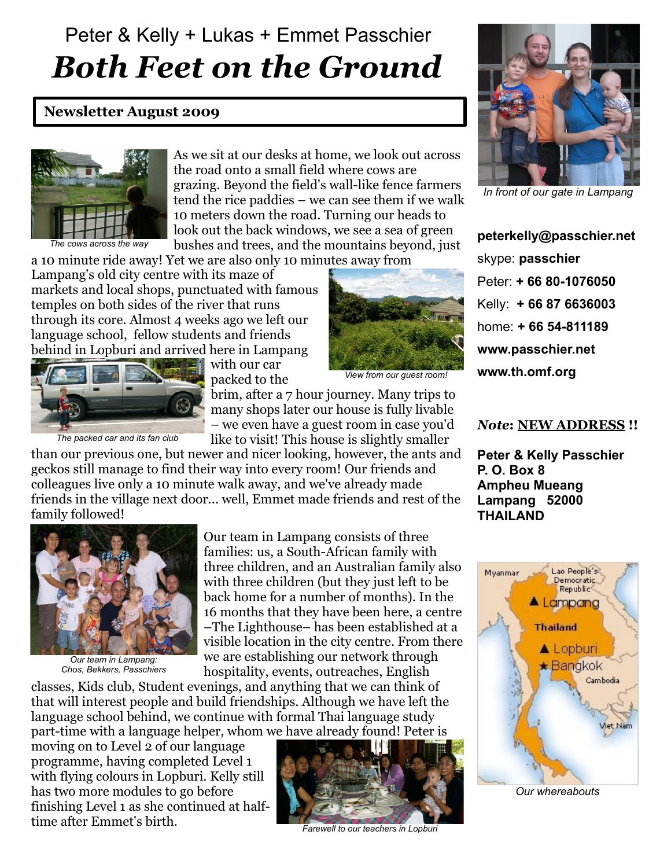## Peter & Kelly + Lukas + Emmet Passchier *Both Feet on the Ground*

## **Newsletter August 2009**



*The cows across the way*

As we sit at our desks at home, we look out across the road onto a small field where cows are grazing. Beyond the field's wall-like fence farmers tend the rice paddies – we can see them if we walk 10 meters down the road. Turning our heads to look out the back windows, we see a sea of green bushes and trees, and the mountains beyond, just

a 10 minute ride away! Yet we are also only 10 minutes away from

Lampang's old city centre with its maze of markets and local shops, punctuated with famous temples on both sides of the river that runs through its core. Almost 4 weeks ago we left our language school, fellow students and friends behind in Lopburi and arrived here in Lampang



with our car packed to the



*View from our guest room!*

brim, after a 7 hour journey. Many trips to many shops later our house is fully livable – we even have a guest room in case you'd

like to visit! This house is slightly smaller

than our previous one, but newer and nicer looking, however, the ants and geckos still manage to find their way into every room! Our friends and colleagues live only a 10 minute walk away, and we've already made friends in the village next door... well, Emmet made friends and rest of the family followed!



*Our team in Lampang: Chos, Bekkers, Passchiers*

Our team in Lampang consists of three families: us, a South-African family with three children, and an Australian family also with three children (but they just left to be back home for a number of months). In the 16 months that they have been here, a centre –The Lighthouse– has been established at a visible location in the city centre. From there we are establishing our network through hospitality, events, outreaches, English

classes, Kids club, Student evenings, and anything that we can think of that will interest people and build friendships. Although we have left the language school behind, we continue with formal Thai language study part-time with a language helper, whom we have already found! Peter is

moving on to Level 2 of our language programme, having completed Level 1 with flying colours in Lopburi. Kelly still has two more modules to go before finishing Level 1 as she continued at halftime after Emmet's birth.



*Farewell to our teachers in Lopburi*



*In front of our gate in Lampang*

**peterkelly@passchier.net** skype: **passchier** Peter: **+ 66 80-1076050** Kelly: **+ 66 87 6636003** home: **+ 66 54-811189 www.passchier.net www.th.omf.org**

## *Note***: NEW ADDRESS !!**

**Peter & Kelly Passchier P. O. Box 8 Ampheu Mueang Lampang 52000 THAILAND**



*Our whereabouts*